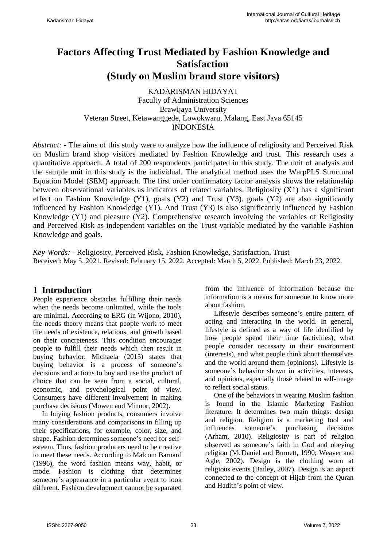# **Factors Affecting Trust Mediated by Fashion Knowledge and Satisfaction (Study on Muslim brand store visitors)**

KADARISMAN HIDAYAT Faculty of Administration Sciences Brawijaya University Veteran Street, Ketawanggede, Lowokwaru, Malang, East Java 65145 INDONESIA

*Abstract:* - The aims of this study were to analyze how the influence of religiosity and Perceived Risk on Muslim brand shop visitors mediated by Fashion Knowledge and trust. This research uses a quantitative approach. A total of 200 respondents participated in this study. The unit of analysis and the sample unit in this study is the individual. The analytical method uses the WarpPLS Structural Equation Model (SEM) approach. The first order confirmatory factor analysis shows the relationship between observational variables as indicators of related variables. Religiosity (X1) has a significant effect on Fashion Knowledge (Y1), goals (Y2) and Trust (Y3). goals (Y2) are also significantly influenced by Fashion Knowledge (Y1). And Trust (Y3) is also significantly influenced by Fashion Knowledge (Y1) and pleasure (Y2). Comprehensive research involving the variables of Religiosity and Perceived Risk as independent variables on the Trust variable mediated by the variable Fashion Knowledge and goals.

*Key-Words:* **-** Religiosity, Perceived Risk, Fashion Knowledge, Satisfaction, Trust Received: May 5, 2021. Revised: February 15, 2022. Accepted: March 5, 2022. Published: March 23, 2022.

# **1 Introduction**

People experience obstacles fulfilling their needs when the needs become unlimited, while the tools are minimal. According to ERG (in Wijono, 2010), the needs theory means that people work to meet the needs of existence, relations, and growth based on their concreteness. This condition encourages people to fulfill their needs which then result in buying behavior. Michaela (2015) states that buying behavior is a process of someone's decisions and actions to buy and use the product of choice that can be seen from a social, cultural, economic, and psychological point of view. Consumers have different involvement in making purchase decisions (Mowen and Minnor, 2002).

In buying fashion products, consumers involve many considerations and comparisons in filling up their specifications, for example, color, size, and shape. Fashion determines someone's need for selfesteem. Thus, fashion producers need to be creative to meet these needs. According to Malcom Barnard (1996), the word fashion means way, habit, or mode. Fashion is clothing that determines someone's appearance in a particular event to look different. Fashion development cannot be separated from the influence of information because the information is a means for someone to know more about fashion.

Lifestyle describes someone's entire pattern of acting and interacting in the world. In general, lifestyle is defined as a way of life identified by how people spend their time (activities), what people consider necessary in their environment (interests), and what people think about themselves and the world around them (opinions). Lifestyle is someone's behavior shown in activities, interests, and opinions, especially those related to self-image to reflect social status.

One of the behaviors in wearing Muslim fashion is found in the Islamic Marketing Fashion literature. It determines two main things: design and religion. Religion is a marketing tool and influences someone's purchasing decisions (Arham, 2010). Religiosity is part of religion observed as someone's faith in God and obeying religion (McDaniel and Burnett, 1990; Weaver and Agle, 2002). Design is the clothing worn at religious events (Bailey, 2007). Design is an aspect connected to the concept of Hijab from the Quran and Hadith's point of view.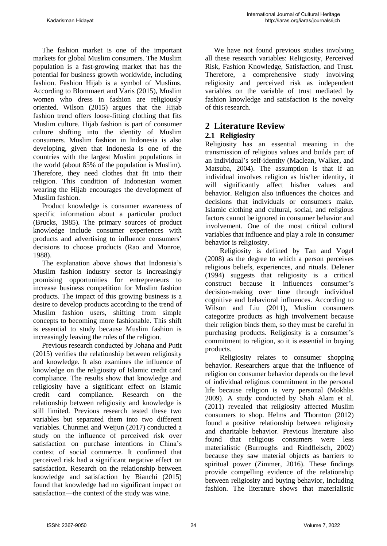The fashion market is one of the important markets for global Muslim consumers. The Muslim population is a fast-growing market that has the potential for business growth worldwide, including fashion. Fashion Hijab is a symbol of Muslims. According to Blommaert and Varis (2015), Muslim women who dress in fashion are religiously oriented. Wilson (2015) argues that the Hijab fashion trend offers loose-fitting clothing that fits Muslim culture. Hijab fashion is part of consumer culture shifting into the identity of Muslim consumers. Muslim fashion in Indonesia is also developing, given that Indonesia is one of the countries with the largest Muslim populations in the world (about 85% of the population is Muslim). Therefore, they need clothes that fit into their religion. This condition of Indonesian women wearing the Hijab encourages the development of Muslim fashion.

Product knowledge is consumer awareness of specific information about a particular product (Brucks, 1985). The primary sources of product knowledge include consumer experiences with products and advertising to influence consumers' decisions to choose products (Rao and Monroe, 1988).

The explanation above shows that Indonesia's Muslim fashion industry sector is increasingly promising opportunities for entrepreneurs to increase business competition for Muslim fashion products. The impact of this growing business is a desire to develop products according to the trend of Muslim fashion users, shifting from simple concepts to becoming more fashionable. This shift is essential to study because Muslim fashion is increasingly leaving the rules of the religion.

Previous research conducted by Johana and Putit (2015) verifies the relationship between religiosity and knowledge. It also examines the influence of knowledge on the religiosity of Islamic credit card compliance. The results show that knowledge and religiosity have a significant effect on Islamic credit card compliance. Research on the relationship between religiosity and knowledge is still limited. Previous research tested these two variables but separated them into two different variables. Chunmei and Weijun (2017) conducted a study on the influence of perceived risk over satisfaction on purchase intentions in China's context of social commerce. It confirmed that perceived risk had a significant negative effect on satisfaction. Research on the relationship between knowledge and satisfaction by Bianchi (2015) found that knowledge had no significant impact on satisfaction—the context of the study was wine.

We have not found previous studies involving all these research variables: Religiosity, Perceived Risk, Fashion Knowledge, Satisfaction, and Trust. Therefore, a comprehensive study involving religiosity and perceived risk as independent variables on the variable of trust mediated by fashion knowledge and satisfaction is the novelty of this research.

# **2 Literature Review**

#### **2.1 Religiosity**

Religiosity has an essential meaning in the transmission of religious values and builds part of an individual's self-identity (Maclean, Walker, and Matsuba, 2004). The assumption is that if an individual involves religion as his/her identity, it will significantly affect his/her values and behavior. Religion also influences the choices and decisions that individuals or consumers make. Islamic clothing and cultural, social, and religious factors cannot be ignored in consumer behavior and involvement. One of the most critical cultural variables that influence and play a role in consumer behavior is religiosity.

Religiosity is defined by Tan and Vogel (2008) as the degree to which a person perceives religious beliefs, experiences, and rituals. Delener (1994) suggests that religiosity is a critical construct because it influences consumer's decision-making over time through individual cognitive and behavioral influences. According to Wilson and Liu (2011), Muslim consumers categorize products as high involvement because their religion binds them, so they must be careful in purchasing products. Religiosity is a consumer's commitment to religion, so it is essential in buying products.

Religiosity relates to consumer shopping behavior. Researchers argue that the influence of religion on consumer behavior depends on the level of individual religious commitment in the personal life because religion is very personal (Mokhlis 2009). A study conducted by Shah Alam et al. (2011) revealed that religiosity affected Muslim consumers to shop. Helms and Thornton (2012) found a positive relationship between religiosity and charitable behavior. Previous literature also found that religious consumers were less materialistic (Burroughs and Rindfleisch, 2002) because they saw material objects as barriers to spiritual power (Zimmer, 2016). These findings provide compelling evidence of the relationship between religiosity and buying behavior, including fashion. The literature shows that materialistic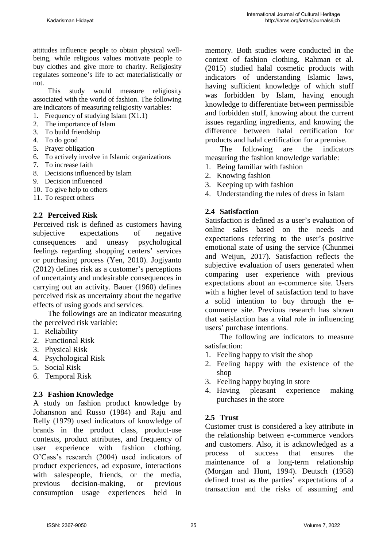attitudes influence people to obtain physical wellbeing, while religious values motivate people to buy clothes and give more to charity. Religiosity regulates someone's life to act materialistically or not.

This study would measure religiosity associated with the world of fashion. The following are indicators of measuring religiosity variables:

- 1. Frequency of studying Islam (X1.1)
- 2. The importance of Islam
- 3. To build friendship
- 4. To do good
- 5. Prayer obligation
- 6. To actively involve in Islamic organizations
- 7. To increase faith
- 8. Decisions influenced by Islam
- 9. Decision influenced
- 10. To give help to others
- 11. To respect others

#### **2.2 Perceived Risk**

Perceived risk is defined as customers having subjective expectations of negative consequences and uneasy psychological feelings regarding shopping centers' services or purchasing process (Yen, 2010). Jogiyanto (2012) defines risk as a customer's perceptions of uncertainty and undesirable consequences in carrying out an activity. Bauer (1960) defines perceived risk as uncertainty about the negative effects of using goods and services.

The followings are an indicator measuring the perceived risk variable:

- 1. Reliability
- 2. Functional Risk
- 3. Physical Risk
- 4. Psychological Risk
- 5. Social Risk
- 6. Temporal Risk

#### **2.3 Fashion Knowledge**

A study on fashion product knowledge by Johansnon and Russo (1984) and Raju and Relly (1979) used indicators of knowledge of brands in the product class, product-use contexts, product attributes, and frequency of user experience with fashion clothing. O'Cass's research (2004) used indicators of product experiences, ad exposure, interactions with salespeople, friends, or the media, previous decision-making, or previous consumption usage experiences held in

memory. Both studies were conducted in the context of fashion clothing. Rahman et al. (2015) studied halal cosmetic products with indicators of understanding Islamic laws, having sufficient knowledge of which stuff was forbidden by Islam, having enough knowledge to differentiate between permissible and forbidden stuff, knowing about the current issues regarding ingredients, and knowing the difference between halal certification for products and halal certification for a premise.

The following are the indicators measuring the fashion knowledge variable:

- 1. Being familiar with fashion
- 2. Knowing fashion
- 3. Keeping up with fashion
- 4. Understanding the rules of dress in Islam

## **2.4 Satisfaction**

Satisfaction is defined as a user's evaluation of online sales based on the needs and expectations referring to the user's positive emotional state of using the service (Chunmei and Weijun, 2017). Satisfaction reflects the subjective evaluation of users generated when comparing user experience with previous expectations about an e-commerce site. Users with a higher level of satisfaction tend to have a solid intention to buy through the ecommerce site. Previous research has shown that satisfaction has a vital role in influencing users' purchase intentions.

The following are indicators to measure satisfaction:

- 1. Feeling happy to visit the shop
- 2. Feeling happy with the existence of the shop
- 3. Feeling happy buying in store
- 4. Having pleasant experience making purchases in the store

## **2.5 Trust**

Customer trust is considered a key attribute in the relationship between e-commerce vendors and customers. Also, it is acknowledged as a process of success that ensures the maintenance of a long-term relationship (Morgan and Hunt, 1994). Deutsch (1958) defined trust as the parties' expectations of a transaction and the risks of assuming and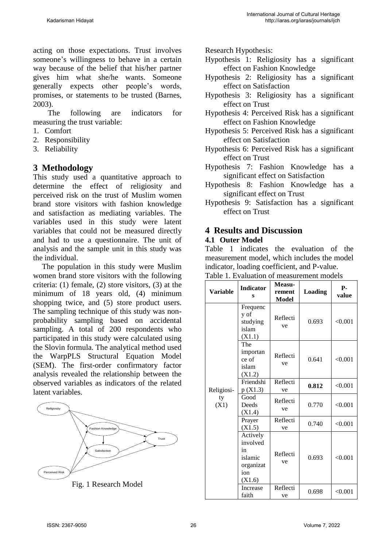acting on those expectations. Trust involves someone's willingness to behave in a certain way because of the belief that his/her partner gives him what she/he wants. Someone generally expects other people's words, promises, or statements to be trusted (Barnes, 2003).

The following are indicators for measuring the trust variable:

- 1. Comfort
- 2. Responsibility
- 3. Reliability

# **3 Methodology**

This study used a quantitative approach to determine the effect of religiosity and perceived risk on the trust of Muslim women brand store visitors with fashion knowledge and satisfaction as mediating variables. The variables used in this study were latent variables that could not be measured directly and had to use a questionnaire. The unit of analysis and the sample unit in this study was the individual.

The population in this study were Muslim women brand store visitors with the following criteria: (1) female, (2) store visitors, (3) at the minimum of 18 years old, (4) minimum shopping twice, and  $(5)$  store product users. The sampling technique of this study was nonprobability sampling based on accidental sampling. A total of 200 respondents who participated in this study were calculated using the Slovin formula. The analytical method used the WarpPLS Structural Equation Model (SEM). The first-order confirmatory factor analysis revealed the relationship between the observed variables as indicators of the related latent variables.



Fig. 1 Research Model

Research Hypothesis:

- Hypothesis 1: Religiosity has a significant effect on Fashion Knowledge
- Hypothesis 2: Religiosity has a significant effect on Satisfaction
- Hypothesis 3: Religiosity has a significant effect on Trust
- Hypothesis 4: Perceived Risk has a significant effect on Fashion Knowledge
- Hypothesis 5: Perceived Risk has a significant effect on Satisfaction
- Hypothesis 6: Perceived Risk has a significant effect on Trust
- Hypothesis 7: Fashion Knowledge has a significant effect on Satisfaction
- Hypothesis 8: Fashion Knowledge has a significant effect on Trust
- Hypothesis 9: Satisfaction has a significant effect on Trust

### **4 Results and Discussion 4.1 Outer Model**

Table 1 indicates the evaluation of the measurement model, which includes the model indicator, loading coefficient, and P-value.

| <b>Variable</b>          | <b>Indicator</b><br>s                                               | Measu-<br>rement<br>Model | <b>Loading</b> | <b>P-</b><br>value |
|--------------------------|---------------------------------------------------------------------|---------------------------|----------------|--------------------|
|                          | Frequenc<br>y of<br>studying<br>islam<br>(X1.1)                     | Reflecti<br>ve            | 0.693          | < 0.001            |
| Religiosi-<br>ty<br>(X1) | The<br>importan<br>ce of<br>islam<br>(X1.2)                         | Reflecti<br>ve            | 0.641          | < 0.001            |
|                          | Friendshi<br>p(X1.3)                                                | Reflecti<br>ve            | 0.812          | < 0.001            |
|                          | Good<br>Deeds<br>(X1.4)                                             | Reflecti<br>ve            | 0.770          | < 0.001            |
|                          | Prayer<br>(X1.5)                                                    | Reflecti<br>ve            | 0.740          | < 0.001            |
|                          | Actively<br>involved<br>in<br>islamic<br>organizat<br>ion<br>(X1.6) | Reflecti<br>ve            | 0.693          | < 0.001            |
|                          | Increase<br>faith                                                   | Reflecti<br>ve            | 0.698          | < 0.001            |

|  | Table 1. Evaluation of measurement models |        |  |
|--|-------------------------------------------|--------|--|
|  |                                           | Measu- |  |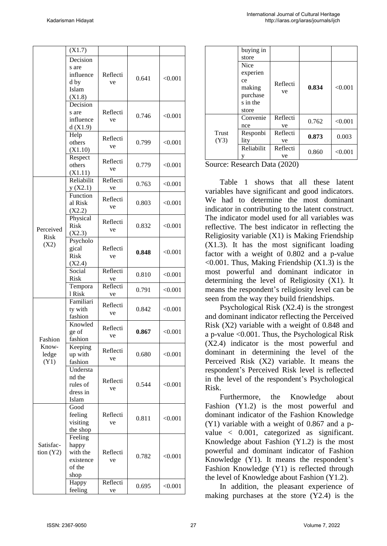|           | $\overline{X}1.7)$ |          |       |         |  |
|-----------|--------------------|----------|-------|---------|--|
|           | Decision           |          |       |         |  |
|           | s are              |          |       |         |  |
|           | influence          | Reflecti |       |         |  |
|           | d by               | ve       | 0.641 | < 0.001 |  |
|           | Islam              |          |       |         |  |
|           | (X1.8)             |          |       |         |  |
|           | Decision           |          |       |         |  |
|           | s are              | Reflecti |       |         |  |
|           | influence          | ve       | 0.746 | < 0.001 |  |
|           | d(X1.9)            |          |       |         |  |
|           | Help               |          |       |         |  |
|           | others             | Reflecti | 0.799 | < 0.001 |  |
|           | (X1.10)            | ve       |       |         |  |
|           | Respect            |          |       |         |  |
|           | others             | Reflecti | 0.779 | < 0.001 |  |
|           | (X1.11)            | ve       |       |         |  |
|           | Reliabilit         | Reflecti |       |         |  |
|           | y(X2.1)            | ve       | 0.763 | < 0.001 |  |
|           | Function           |          |       |         |  |
|           | al Risk            | Reflecti | 0.803 | < 0.001 |  |
|           | (X2.2)             | ve       |       |         |  |
|           | Physical           |          |       |         |  |
|           | Risk               | Reflecti | 0.832 | < 0.001 |  |
| Perceived | (X2.3)             | ve       |       |         |  |
| Risk      | Psycholo           |          |       |         |  |
| (X2)      | gical              | Reflecti |       |         |  |
|           | Risk               | ve       | 0.848 | < 0.001 |  |
|           | (X2.4)             |          |       |         |  |
|           | Social             | Reflecti |       |         |  |
|           | <b>Risk</b>        | ve       | 0.810 | < 0.001 |  |
|           | Tempora            | Reflecti |       |         |  |
|           | 1 Risk             | ve       | 0.791 | < 0.001 |  |
|           | Familiari          |          |       |         |  |
|           | ty with            | Reflecti | 0.842 | < 0.001 |  |
|           | fashion            | ve       |       |         |  |
|           | Knowled            |          |       |         |  |
|           | ge of              | Reflecti | 0.867 | < 0.001 |  |
| Fashion   | fashion<br>Keeping | ve       |       |         |  |
| Know-     |                    |          |       |         |  |
| ledge     | up with            | Reflecti | 0.680 | < 0.001 |  |
| (Y1)      | fashion            | ve       |       |         |  |
|           | Understa           |          |       |         |  |
|           | nd the             |          | 0.544 |         |  |
|           | rules of           | Reflecti |       | < 0.001 |  |
|           | dress in           | ve       |       |         |  |
|           | Islam              |          |       |         |  |
|           | Good               |          |       |         |  |
|           | feeling            | Reflecti | 0.811 | < 0.001 |  |
|           | visiting           | ve       |       |         |  |
|           | the shop           |          |       |         |  |
|           | Feeling            |          |       |         |  |
| Satisfac- | happy              |          |       |         |  |
| tion (Y2) | with the           | Reflecti | 0.782 | < 0.001 |  |
|           | existence<br>ve    |          |       |         |  |
|           | of the             |          |       |         |  |
|           | shop               |          |       |         |  |
|           | Happy              | Reflecti | 0.695 | < 0.001 |  |
|           | feeling            | ve       |       |         |  |

|             | buying in   |          |       |         |
|-------------|-------------|----------|-------|---------|
|             | store       |          |       |         |
|             | <b>Nice</b> |          |       |         |
|             | experien    |          |       |         |
|             | ce          | Reflecti |       |         |
|             | making      |          | 0.834 | < 0.001 |
|             | purchase    | ve       |       |         |
|             | s in the    |          |       |         |
|             | store       |          |       |         |
|             | Convenie    | Reflecti | 0.762 | < 0.001 |
|             | nce         | ve       |       |         |
| Trust       | Responbi    | Reflecti | 0.873 | 0.003   |
| (Y3)        | lity        | ve       |       |         |
|             | Reliabilit  | Reflecti | 0.860 | < 0.001 |
|             |             | ve       |       |         |
| $\sim$<br>– | $\sim$      | (0.000)  |       |         |

Source: Research Data (2020)

Table 1 shows that all these latent variables have significant and good indicators. We had to determine the most dominant indicator in contributing to the latent construct. The indicator model used for all variables was reflective. The best indicator in reflecting the Religiosity variable (X1) is Making Friendship (X1.3). It has the most significant loading factor with a weight of 0.802 and a p-value  $\leq 0.001$ . Thus, Making Friendship (X1.3) is the most powerful and dominant indicator in determining the level of Religiosity (X1). It means the respondent 's religiosity level can be seen from the way they build friendships.

Psychological Risk (X2.4) is the strongest and dominant indicator reflecting the Perceived Risk (X2) variable with a weight of 0.848 and a p-value <0.001. Thus, the Psychological Risk (X2.4) indicator is the most powerful and dominant in determining the level of the Perceived Risk (X2) variable. It means the respondent 's Perceived Risk level is reflected in the level of the respondent 's Psychological Risk.

Furthermore, the Knowledge about Fashion (Y1.2) is the most powerful and dominant indicator of the Fashion Knowledge (Y1) variable with a weight of 0.867 and a p value < 0.001, categorized as significant. Knowledge about Fashion (Y1.2) is the most powerful and dominant indicator of Fashion Knowledge (Y1). It means the respondent 's Fashion Knowledge (Y1) is reflected through the level of Knowledge about Fashion (Y1.2).

In addition, the pleasant experience of making purchases at the store (Y2.4) is the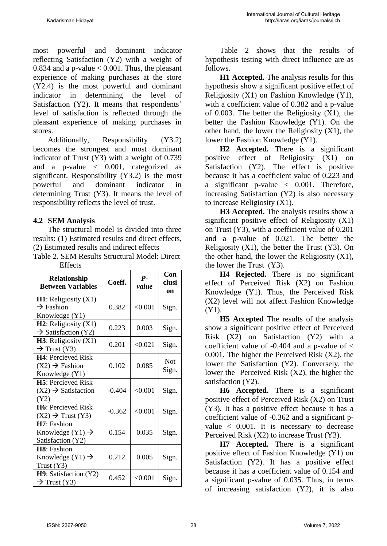most powerful and dominant indicator reflecting Satisfaction (Y2) with a weight of 0.834 and a p-value  $< 0.001$ . Thus, the pleasant experience of making purchases at the store (Y2.4) is the most powerful and dominant indicator in determining the level of Satisfaction (Y2). It means that respondents' level of satisfaction is reflected through the pleasant experience of making purchases in stores.

Additionally, Responsibility (Y3.2) becomes the strongest and most dominant indicator of Trust (Y3) with a weight of 0.739 and a p-value < 0.001, categorized as significant. Responsibility (Y3.2) is the most powerful and dominant indicator in determining Trust (Y3). It means the level of responsibility reflects the level of trust.

# **4.2 SEM Analysis**

The structural model is divided into three results: (1) Estimated results and direct effects, (2) Estimated results and indirect effects Table 2. SEM Results Structural Model: Direct

| <b>Relationship</b><br><b>Between Variables</b>                            | Coeff.   | $P-$<br>value | Con<br>clusi<br>on  |
|----------------------------------------------------------------------------|----------|---------------|---------------------|
| <b>H1</b> : Religiosity $(X1)$<br>$\rightarrow$ Fashion<br>Knowledge (Y1)  | 0.382    | < 0.001       | Sign.               |
| $H2$ : Religiosity $(X1)$<br>$\rightarrow$ Satisfaction (Y2)               | 0.223    | 0.003         | Sign.               |
| $H3$ : Religiosity $(X1)$<br>$\rightarrow$ Trust (Y3)                      | 0.201    | < 0.021       | Sign.               |
| <b>H4</b> : Percieved Risk<br>$(X2) \rightarrow$ Fashion<br>Knowledge (Y1) | 0.102    | 0.085         | <b>Not</b><br>Sign. |
| <b>H5</b> : Percieved Risk<br>$(X2) \rightarrow S$ atisfaction<br>(Y2)     | $-0.404$ | < 0.001       | Sign.               |
| H6: Percieved Risk<br>$(X2) \rightarrow$ Trust $(Y3)$                      | $-0.362$ | < 0.001       | Sign.               |
| H7: Fashion<br>Knowledge $(Y1) \rightarrow$<br>Satisfaction (Y2)           | 0.154    | 0.035         | Sign.               |
| H8: Fashion<br>Knowledge $(Y1) \rightarrow$<br>Trust $(Y3)$                | 0.212    | 0.005         | Sign.               |
| H9: Satisfaction (Y2)<br>$\rightarrow$ Trust (Y3)                          | 0.452    | < 0.001       | Sign.               |

**Effects** 

Table 2 shows that the results of hypothesis testing with direct influence are as follows.

**H1 Accepted.** The analysis results for this hypothesis show a significant positive effect of Religiosity (X1) on Fashion Knowledge (Y1), with a coefficient value of 0.382 and a p-value of 0.003. The better the Religiosity (X1), the better the Fashion Knowledge (Y1). On the other hand, the lower the Religiosity  $(X1)$ , the lower the Fashion Knowledge (Y1).

**H2 Accepted.** There is a significant positive effect of Religiosity (X1) on Satisfaction (Y2). The effect is positive because it has a coefficient value of 0.223 and a significant p-value < 0.001. Therefore, increasing Satisfaction (Y2) is also necessary to increase Religiosity (X1).

**H3 Accepted.** The analysis results show a significant positive effect of Religiosity (X1) on Trust (Y3), with a coefficient value of 0.201 and a p-value of 0.021. The better the Religiosity  $(X1)$ , the better the Trust  $(Y3)$ . On the other hand, the lower the Religiosity  $(X1)$ , the lower the Trust (Y3).

**H4 Rejected.** There is no significant effect of Perceived Risk (X2) on Fashion Knowledge (Y1). Thus, the Perceived Risk (X2) level will not affect Fashion Knowledge (Y1).

**H5 Accepted** The results of the analysis show a significant positive effect of Perceived Risk (X2) on Satisfaction (Y2) with a coefficient value of  $-0.404$  and a p-value of  $\lt$ 0.001. The higher the Perceived Risk (X2), the lower the Satisfaction (Y2). Conversely, the lower the Perceived Risk (X2), the higher the satisfaction (Y2).

**H6 Accepted.** There is a significant positive effect of Perceived Risk (X2) on Trust (Y3). It has a positive effect because it has a coefficient value of -0.362 and a significant pvalue < 0.001. It is necessary to decrease Perceived Risk (X2) to increase Trust (Y3).

**H7 Accepted.** There is a significant positive effect of Fashion Knowledge (Y1) on Satisfaction (Y2). It has a positive effect because it has a coefficient value of 0.154 and a significant p-value of 0.035. Thus, in terms of increasing satisfaction (Y2), it is also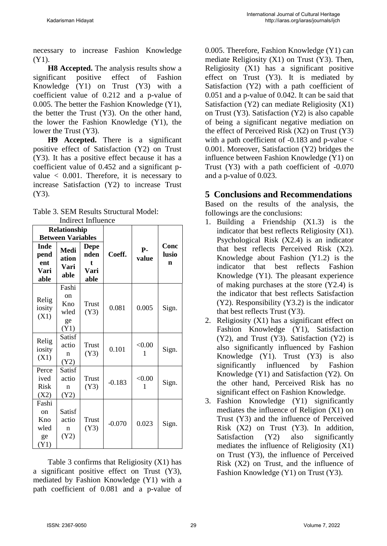necessary to increase Fashion Knowledge (Y1).

**H8 Accepted.** The analysis results show a significant positive effect of Fashion Knowledge (Y1) on Trust (Y3) with a coefficient value of 0.212 and a p-value of 0.005. The better the Fashion Knowledge (Y1), the better the Trust (Y3). On the other hand, the lower the Fashion Knowledge (Y1), the lower the Trust (Y3).

**H9 Accepted.** There is a significant positive effect of Satisfaction (Y2) on Trust (Y3). It has a positive effect because it has a coefficient value of 0.452 and a significant pvalue  $\langle 0.001$ . Therefore, it is necessary to increase Satisfaction (Y2) to increase Trust (Y3).

| Table 3. SEM Results Structural Model: |  |
|----------------------------------------|--|
| Indirect Influence                     |  |

|                                                     | Relationship                             | man oo minachoo                          |          |                |                    |
|-----------------------------------------------------|------------------------------------------|------------------------------------------|----------|----------------|--------------------|
| <b>Between Variables</b>                            |                                          |                                          |          |                |                    |
| Inde<br>pend<br>ent<br>Vari<br>able                 | Medi<br>ation<br>Vari<br>able            | <b>Depe</b><br>nden<br>t<br>Vari<br>able | Coeff.   | $P -$<br>value | Conc<br>lusio<br>n |
| Relig<br>iosity<br>(X1)                             | Fashi<br>on<br>Kno<br>wled<br>ge<br>(Y1) | Trust<br>(Y3)                            | 0.081    | 0.005          | Sign.              |
| Relig<br>iosity<br>(X1)                             | Satisf<br>actio<br>n<br>(Y2)             | Trust<br>(Y3)                            | 0.101    | < 0.00<br>1    | Sign.              |
| Perce<br>ived<br><b>Risk</b><br>(X2)                | Satisf<br>actio<br>n<br>(Y2)             | Trust<br>(Y3)                            | $-0.183$ | < 0.00<br>1    | Sign.              |
| Fashi<br><sub>on</sub><br>Kno<br>wled<br>ge<br>(Y1) | Satisf<br>actio<br>$\mathbf n$<br>(Y2)   | Trust<br>(Y3)                            | $-0.070$ | 0.023          | Sign.              |

Table 3 confirms that Religiosity (X1) has a significant positive effect on Trust (Y3), mediated by Fashion Knowledge (Y1) with a path coefficient of 0.081 and a p-value of

0.005. Therefore, Fashion Knowledge (Y1) can mediate Religiosity (X1) on Trust (Y3). Then, Religiosity (X1) has a significant positive effect on Trust (Y3). It is mediated by Satisfaction (Y2) with a path coefficient of 0.051 and a p-value of 0.042. It can be said that Satisfaction (Y2) can mediate Religiosity (X1) on Trust (Y3). Satisfaction (Y2) is also capable of being a significant negative mediation on the effect of Perceived Risk (X2) on Trust (Y3) with a path coefficient of  $-0.183$  and p-value  $\lt$ 0.001. Moreover, Satisfaction (Y2) bridges the influence between Fashion Knowledge (Y1) on Trust (Y3) with a path coefficient of -0.070 and a p-value of 0.023.

# **5 Conclusions and Recommendations**

Based on the results of the analysis, the followings are the conclusions:

- 1. Building a Friendship (X1.3) is the indicator that best reflects Religiosity (X1). Psychological Risk (X2.4) is an indicator that best reflects Perceived Risk (X2). Knowledge about Fashion (Y1.2) is the indicator that best reflects Fashion Knowledge (Y1). The pleasant experience of making purchases at the store (Y2.4) is the indicator that best reflects Satisfaction (Y2). Responsibility (Y3.2) is the indicator that best reflects Trust (Y3).
- 2. Religiosity (X1) has a significant effect on Fashion Knowledge (Y1), Satisfaction  $(Y2)$ , and Trust  $(Y3)$ . Satisfaction  $(Y2)$  is also significantly influenced by Fashion Knowledge (Y1). Trust (Y3) is also significantly influenced by Fashion Knowledge (Y1) and Satisfaction (Y2). On the other hand, Perceived Risk has no significant effect on Fashion Knowledge.
- 3. Fashion Knowledge (Y1) significantly mediates the influence of Religion (X1) on Trust (Y3) and the influence of Perceived Risk (X2) on Trust (Y3). In addition, Satisfaction (Y2) also significantly mediates the influence of Religiosity (X1) on Trust (Y3), the influence of Perceived Risk (X2) on Trust, and the influence of Fashion Knowledge (Y1) on Trust (Y3).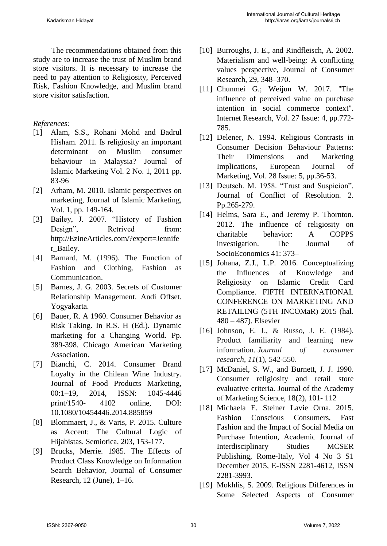The recommendations obtained from this study are to increase the trust of Muslim brand store visitors. It is necessary to increase the need to pay attention to Religiosity, Perceived Risk, Fashion Knowledge, and Muslim brand store visitor satisfaction.

### *References:*

- [1] Alam, S.S., Rohani Mohd and Badrul Hisham. 2011. Is religiosity an important determinant on Muslim consumer behaviour in Malaysia? Journal of Islamic Marketing Vol. 2 No. 1, 2011 pp. 83-96
- [2] Arham, M. 2010. Islamic perspectives on marketing, Journal of Islamic Marketing, Vol. 1, pp. 149-164.
- [3] Bailey, J. 2007. "History of Fashion Design", Retrived from: http://EzineArticles.com/?expert=Jennife r\_Bailey.
- [4] Barnard, M. (1996). The Function of Fashion and Clothing, Fashion as Communication.
- [5] Barnes, J. G. 2003. Secrets of Customer Relationship Management. Andi Offset. Yogyakarta.
- [6] Bauer, R. A 1960. Consumer Behavior as Risk Taking. In R.S. H (Ed.). Dynamic marketing for a Changing World. Pp. 389-398. Chicago American Marketing Association.
- [7] Bianchi, C. 2014. Consumer Brand Loyalty in the Chilean Wine Industry. Journal of Food Products Marketing, 00:1–19, 2014, ISSN: 1045-4446 print/1540- 4102 online, DOI: 10.1080/10454446.2014.885859
- [8] Blommaert, J., & Varis, P. 2015. Culture as Accent: The Cultural Logic of Hijabistas. Semiotica, 203, 153-177.
- [9] Brucks, Merrie. 1985. The Effects of Product Class Knowledge on Information Search Behavior, Journal of Consumer Research, 12 (June), 1–16.
- [10] Burroughs, J. E., and Rindfleisch, A. 2002. Materialism and well-being: A conflicting values perspective, Journal of Consumer Research, 29, 348–370.
- [11] Chunmei G.; Weijun W. 2017. "The influence of perceived value on purchase intention in social commerce context". Internet Research, Vol. 27 Issue: 4, pp.772- 785.
- [12] Delener, N. 1994. Religious Contrasts in Consumer Decision Behaviour Patterns: Their Dimensions and Marketing Implications, European Journal of Marketing, Vol. 28 Issue: 5, pp.36-53.
- [13] Deutsch. M. 1958. "Trust and Suspicion". Journal of Conflict of Resolution. 2. Pp.265-279.
- [14] Helms, Sara E., and Jeremy P. Thornton. 2012. The influence of religiosity on charitable behavior: A COPPS investigation. The Journal of SocioEconomics 41: 373–
- [15] Johana, Z.J., L.P. 2016. Conceptualizing the Influences of Knowledge and Religiosity on Islamic Credit Card Compliance. FIFTH INTERNATIONAL CONFERENCE ON MARKETING AND RETAILING (5TH INCOMaR) 2015 (hal. 480 – 487). Elsevier
- [16] Johnson, E. J., & Russo, J. E. (1984). Product familiarity and learning new information. *Journal of consumer research*, *11*(1), 542-550.
- [17] McDaniel, S. W., and Burnett, J. J. 1990. Consumer religiosity and retail store evaluative criteria. Journal of the Academy of Marketing Science, 18(2), 101- 112
- [18] Michaela E. Steiner Lavie Orna. 2015. Fashion Conscious Consumers, Fast Fashion and the Impact of Social Media on Purchase Intention, Academic Journal of Interdisciplinary Studies MCSER Publishing, Rome-Italy, Vol 4 No 3 S1 December 2015, E-ISSN 2281-4612, ISSN 2281-3993.
- [19] Mokhlis, S. 2009. Religious Differences in Some Selected Aspects of Consumer